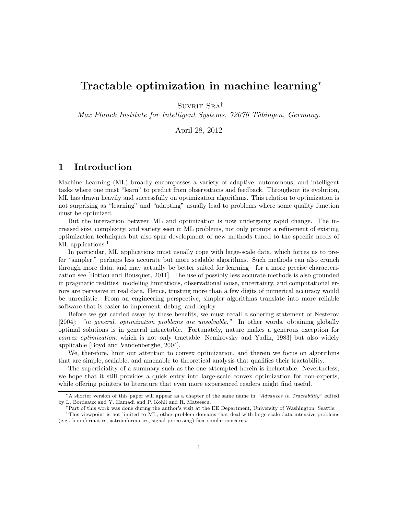# Tractable optimization in machine learning<sup>∗</sup>

 $SUVRIT SRA^{\dagger}$ 

Max Planck Institute for Intelligent Systems, 72076 Tübingen, Germany.

April 28, 2012

## 1 Introduction

Machine Learning (ML) broadly encompasses a variety of adaptive, autonomous, and intelligent tasks where one must "learn" to predict from observations and feedback. Throughout its evolution, ML has drawn heavily and successfully on optimization algorithms. This relation to optimization is not surprising as "learning" and "adapting" usually lead to problems where some quality function must be optimized.

But the interaction between ML and optimization is now undergoing rapid change. The increased size, complexity, and variety seen in ML problems, not only prompt a refinement of existing optimization techniques but also spur development of new methods tuned to the specific needs of ML applications.<sup>1</sup>

In particular, ML applications must usually cope with large-scale data, which forces us to prefer "simpler," perhaps less accurate but more scalable algorithms. Such methods can also crunch through more data, and may actually be better suited for learning—for a more precise characterization see [Bottou and Bousquet, 2011]. The use of possibly less accurate methods is also grounded in pragmatic realities: modeling limitations, observational noise, uncertainty, and computational errors are pervasive in real data. Hence, trusting more than a few digits of numerical accuracy would be unrealistic. From an engineering perspective, simpler algorithms translate into more reliable software that is easier to implement, debug, and deploy.

Before we get carried away by these benefits, we must recall a sobering statement of Nesterov [2004]: "in general, optimization problems are unsolvable." In other words, obtaining globally optimal solutions is in general intractable. Fortunately, nature makes a generous exception for convex optimization, which is not only tractable [Nemirovsky and Yudin, 1983] but also widely applicable [Boyd and Vandenberghe, 2004].

We, therefore, limit our attention to convex optimization, and therein we focus on algorithms that are simple, scalable, and amenable to theoretical analysis that qualifies their tractability.

The superficiality of a summary such as the one attempted herein is ineluctable. Nevertheless, we hope that it still provides a quick entry into large-scale convex optimization for non-experts, while offering pointers to literature that even more experienced readers might find useful.

<sup>∗</sup>A shorter version of this paper will appear as a chapter of the same name in "Advances in Tractability" edited by L. Bordeaux and Y. Hamadi and P. Kohli and R. Mateescu.

<sup>†</sup>Part of this work was done during the author's visit at the EE Department, University of Washington, Seattle.

<sup>&</sup>lt;sup>1</sup>This viewpoint is not limited to ML; other problem domains that deal with large-scale data intensive problems (e.g., bioinformatics, astroinformatics, signal processing) face similar concerns.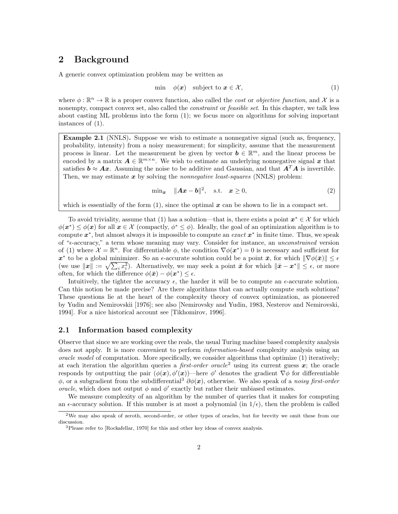## 2 Background

A generic convex optimization problem may be written as

$$
\min \quad \phi(\boldsymbol{x}) \quad \text{subject to } \boldsymbol{x} \in \mathcal{X}, \tag{1}
$$

where  $\phi : \mathbb{R}^n \to \mathbb{R}$  is a proper convex function, also called the *cost* or *objective function*, and X is a nonempty, compact convex set, also called the *constraint* or *feasible set*. In this chapter, we talk less about casting ML problems into the form (1); we focus more on algorithms for solving important instances of (1).

Example 2.1 (NNLS). Suppose we wish to estimate a nonnegative signal (such as, frequency, probability, intensity) from a noisy measurement; for simplicity, assume that the measurement process is linear. Let the measurement be given by vector  $\mathbf{b} \in \mathbb{R}^m$ , and the linear process be encoded by a matrix  $A \in \mathbb{R}^{m \times n}$ . We wish to estimate an underlying nonnegative signal x that satisfies  $\mathbf{b} \approx \mathbf{A}\mathbf{x}$ . Assuming the noise to be additive and Gaussian, and that  $\mathbf{A}^T\mathbf{A}$  is invertible. Then, we may estimate  $x$  by solving the *nonnegative least-squares* (NNLS) problem:

$$
\min_{\mathbf{x}} \quad \|\mathbf{A}\mathbf{x} - \mathbf{b}\|^2, \quad \text{s.t.} \quad \mathbf{x} \ge 0,
$$
\n<sup>(2)</sup>

which is essentially of the form  $(1)$ , since the optimal x can be shown to lie in a compact set.

To avoid triviality, assume that (1) has a solution—that is, there exists a point  $x^* \in \mathcal{X}$  for which  $\phi(\boldsymbol{x}^*) \leq \phi(\boldsymbol{x})$  for all  $\boldsymbol{x} \in \mathcal{X}$  (compactly,  $\phi^* \leq \phi$ ). Ideally, the goal of an optimization algorithm is to compute  $x^*$ , but almost always it is impossible to compute an *exact*  $x^*$  in finite time. Thus, we speak of "ǫ-accuracy," a term whose meaning may vary. Consider for instance, an unconstrained version of (1) where  $\mathcal{X} = \mathbb{R}^n$ . For differentiable  $\phi$ , the condition  $\nabla \phi(\boldsymbol{x}^*) = 0$  is necessary and sufficient for  $\boldsymbol{x}^*$  to be a global minimizer. So an  $\epsilon$ -accurate solution could be a point  $\bar{\boldsymbol{x}}$ , for which  $\|\nabla \phi(\bar{\boldsymbol{x}})\| \leq \epsilon$ (we use  $||x|| := \sqrt{\sum_i x_i^2}$ ). Alternatively, we may seek a point  $\bar{x}$  for which  $||\bar{x} - x^*|| \leq \epsilon$ , or more often, for which the difference  $\phi(\bar{x}) - \phi(x^*) \leq \epsilon$ .

Intuitively, the tighter the accuracy  $\epsilon$ , the harder it will be to compute an  $\epsilon$ -accurate solution. Can this notion be made precise? Are there algorithms that can actually compute such solutions? These questions lie at the heart of the complexity theory of convex optimization, as pioneered by Yudin and Nemirovskii [1976]; see also [Nemirovsky and Yudin, 1983, Nesterov and Nemirovski, 1994]. For a nice historical account see [Tikhomirov, 1996].

#### 2.1 Information based complexity

Observe that since we are working over the reals, the usual Turing machine based complexity analysis does not apply. It is more convenient to perform *information-based* complexity analysis using an oracle model of computation. More specifically, we consider algorithms that optimize (1) iteratively; at each iteration the algorithm queries a *first-order oracle*<sup>2</sup> using its current guess  $x$ ; the oracle responds by outputting the pair  $(\phi(\mathbf{x}), \phi'(\mathbf{x}))$ —here  $\phi'$  denotes the gradient  $\nabla \phi$  for differentiable  $\phi$ , or a subgradient from the subdifferential<sup>3</sup>  $\partial \phi(x)$ , otherwise. We also speak of a noisy first-order oracle, which does not output  $\phi$  and  $\phi'$  exactly but rather their unbiased estimates.

We measure complexity of an algorithm by the number of queries that it makes for computing an  $\epsilon$ -accuracy solution. If this number is at most a polynomial (in  $1/\epsilon$ ), then the problem is called

<sup>2</sup>We may also speak of zeroth, second-order, or other types of oracles, but for brevity we omit these from our discussion.

<sup>&</sup>lt;sup>3</sup>Please refer to [Rockafellar, 1970] for this and other key ideas of convex analysis.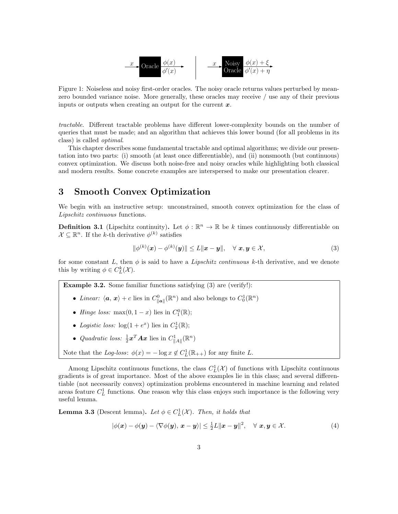

Figure 1: Noiseless and noisy first-order oracles. The noisy oracle returns values perturbed by meanzero bounded variance noise. More generally, these oracles may receive / use any of their previous inputs or outputs when creating an output for the current  $x$ .

tractable. Different tractable problems have different lower-complexity bounds on the number of queries that must be made; and an algorithm that achieves this lower bound (for all problems in its class) is called optimal.

This chapter describes some fundamental tractable and optimal algorithms; we divide our presentation into two parts: (i) smooth (at least once differentiable), and (ii) nonsmooth (but continuous) convex optimization. We discuss both noise-free and noisy oracles while highlighting both classical and modern results. Some concrete examples are interspersed to make our presentation clearer.

## 3 Smooth Convex Optimization

We begin with an instructive setup: unconstrained, smooth convex optimization for the class of Lipschitz continuous functions.

**Definition 3.1** (Lipschitz continuity). Let  $\phi : \mathbb{R}^n \to \mathbb{R}$  be k times continuously differentiable on  $\mathcal{X} \subseteq \mathbb{R}^n$ . If the k-th derivative  $\phi^{(k)}$  satisfies

$$
\|\phi^{(k)}(\boldsymbol{x}) - \phi^{(k)}(\boldsymbol{y})\| \le L \|\boldsymbol{x} - \boldsymbol{y}\|, \quad \forall \ \boldsymbol{x}, \boldsymbol{y} \in \mathcal{X},
$$
\n(3)

for some constant L, then  $\phi$  is said to have a Lipschitz continuous k-th derivative, and we denote this by writing  $\phi \in C^k_L(\mathcal{X})$ .

Example 3.2. Some familiar functions satisfying (3) are (verify!):

- Linear:  $\langle \mathbf{a}, \mathbf{x} \rangle + c$  lies in  $C_{\|\mathbf{a}\|}^0(\mathbb{R}^n)$  and also belongs to  $C_0^1(\mathbb{R}^n)$
- *Hinge loss:* max $(0, 1 x)$  lies in  $C_1^0(\mathbb{R})$ ;
- Logistic loss:  $\log(1 + e^x)$  lies in  $C_2^1(\mathbb{R})$ ;
- Quadratic loss:  $\frac{1}{2} \boldsymbol{x}^T \boldsymbol{A} \boldsymbol{x}$  lies in  $C_{\|\boldsymbol{A}\|}^1(\mathbb{R}^n)$

Note that the Log-loss: 
$$
\phi(x) = -\log x \notin C_L^1(\mathbb{R}_{++})
$$
 for any finite L.

Among Lipschitz continuous functions, the class  $C_L^1(\mathcal{X})$  of functions with Lipschitz continuous gradients is of great importance. Most of the above examples lie in this class; and several differentiable (not necessarily convex) optimization problems encountered in machine learning and related areas feature  $C<sub>L</sub><sup>1</sup>$  functions. One reason why this class enjoys such importance is the following very useful lemma.

**Lemma 3.3** (Descent lemma). Let  $\phi \in C^1_L(\mathcal{X})$ . Then, it holds that

$$
|\phi(\boldsymbol{x}) - \phi(\boldsymbol{y}) - \langle \nabla \phi(\boldsymbol{y}), \boldsymbol{x} - \boldsymbol{y} \rangle| \le \frac{1}{2}L \|\boldsymbol{x} - \boldsymbol{y}\|^2, \quad \forall \boldsymbol{x}, \boldsymbol{y} \in \mathcal{X}.
$$
 (4)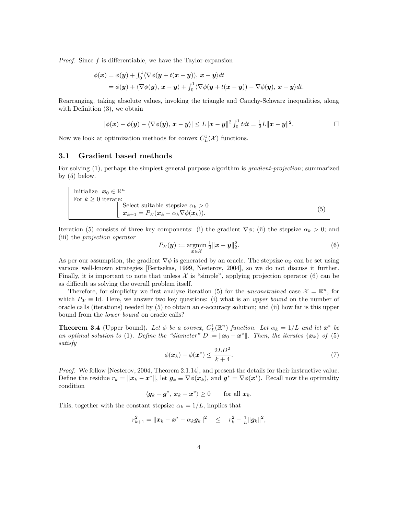*Proof.* Since  $f$  is differentiable, we have the Taylor-expansion

$$
\phi(\mathbf{x}) = \phi(\mathbf{y}) + \int_0^1 \langle \nabla \phi(\mathbf{y} + t(\mathbf{x} - \mathbf{y})), \mathbf{x} - \mathbf{y} \rangle dt
$$
  
=  $\phi(\mathbf{y}) + \langle \nabla \phi(\mathbf{y}), \mathbf{x} - \mathbf{y} \rangle + \int_0^1 \langle \nabla \phi(\mathbf{y} + t(\mathbf{x} - \mathbf{y})) - \nabla \phi(\mathbf{y}), \mathbf{x} - \mathbf{y} \rangle dt.$ 

Rearranging, taking absolute values, invoking the triangle and Cauchy-Schwarz inequalities, along with Definition (3), we obtain

$$
|\phi(\boldsymbol{x}) - \phi(\boldsymbol{y}) - \langle \nabla \phi(\boldsymbol{y}), \boldsymbol{x} - \boldsymbol{y} \rangle| \leq L \|\boldsymbol{x} - \boldsymbol{y}\|^2 \int_0^1 t dt = \frac{1}{2}L \|\boldsymbol{x} - \boldsymbol{y}\|^2.
$$

Now we look at optimization methods for convex  $C_{L}^{1}(\mathcal{X})$  functions.

#### 3.1 Gradient based methods

For solving (1), perhaps the simplest general purpose algorithm is *gradient-projection*; summarized by (5) below.

Initialize  $x_0 \in \mathbb{R}^n$ For  $k \geq 0$  iterate:<br>Select suitable stepsize  $\alpha_k > 0$  $\mathbf{x}_{k+1} = P_{\mathcal{X}}(\mathbf{x}_k - \alpha_k \nabla \phi(\mathbf{x}_k)).$ (5)

Iteration (5) consists of three key components: (i) the gradient  $\nabla \phi$ ; (ii) the stepsize  $\alpha_k > 0$ ; and (iii) the projection operator

$$
P_{\mathcal{X}}(\mathbf{y}) := \underset{\mathbf{x} \in \mathcal{X}}{\operatorname{argmin}} \frac{1}{2} \|\mathbf{x} - \mathbf{y}\|_2^2. \tag{6}
$$

As per our assumption, the gradient  $\nabla \phi$  is generated by an oracle. The stepsize  $\alpha_k$  can be set using various well-known strategies [Bertsekas, 1999, Nesterov, 2004], so we do not discuss it further. Finally, it is important to note that unless  $\mathcal X$  is "simple", applying projection operator (6) can be as difficult as solving the overall problem itself.

Therefore, for simplicity we first analyze iteration (5) for the *unconstrained* case  $\mathcal{X} = \mathbb{R}^n$ , for which  $P_{\mathcal{X}} \equiv$  Id. Here, we answer two key questions: (i) what is an upper bound on the number of oracle calls (iterations) needed by  $(5)$  to obtain an  $\epsilon$ -accuracy solution; and (ii) how far is this upper bound from the lower bound on oracle calls?

**Theorem 3.4** (Upper bound). Let  $\phi$  be a convex,  $C_L^1(\mathbb{R}^n)$  function. Let  $\alpha_k = 1/L$  and let  $\mathbf{x}^*$  be an optimal solution to (1). Define the "diameter"  $D := ||x_0 - x^*||$ . Then, the iterates  $\{x_k\}$  of (5) satisfy

$$
\phi(\boldsymbol{x}_k) - \phi(\boldsymbol{x}^*) \le \frac{2LD^2}{k+4}.\tag{7}
$$

Proof. We follow [Nesterov, 2004, Theorem 2.1.14], and present the details for their instructive value. Define the residue  $r_k = ||x_k - x^*||$ , let  $g_k \equiv \nabla \phi(x_k)$ , and  $g^* = \nabla \phi(x^*)$ . Recall now the optimality condition

 $\langle g_k - g^*, x_k - x^* \rangle \ge 0$  for all  $x_k$ .

This, together with the constant stepsize  $\alpha_k = 1/L$ , implies that

$$
r_{k+1}^2 = ||\boldsymbol{x}_k - \boldsymbol{x}^* - \alpha_k \boldsymbol{g}_k||^2 \leq r_k^2 - \frac{1}{L} ||\boldsymbol{g}_k||^2,
$$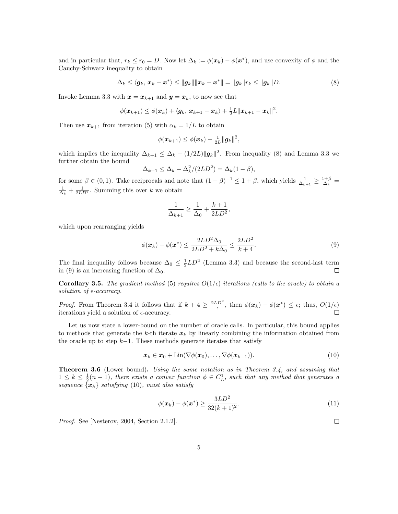and in particular that,  $r_k \leq r_0 = D$ . Now let  $\Delta_k := \phi(\mathbf{x}_k) - \phi(\mathbf{x}^*)$ , and use convexity of  $\phi$  and the Cauchy-Schwarz inequality to obtain

$$
\Delta_k \leq \langle \boldsymbol{g}_k, \boldsymbol{x}_k - \boldsymbol{x}^* \rangle \leq ||\boldsymbol{g}_k|| ||\boldsymbol{x}_k - \boldsymbol{x}^*|| = ||\boldsymbol{g}_k||r_k \leq ||\boldsymbol{g}_k||D. \tag{8}
$$

Invoke Lemma 3.3 with  $x = x_{k+1}$  and  $y = x_k$ , to now see that

$$
\phi(\boldsymbol{x}_{k+1}) \leq \phi(\boldsymbol{x}_k) + \langle \boldsymbol{g}_k, \, \boldsymbol{x}_{k+1} - \boldsymbol{x}_k \rangle + \tfrac{1}{2}L\|\boldsymbol{x}_{k+1} - \boldsymbol{x}_k\|^2.
$$

Then use  $x_{k+1}$  from iteration (5) with  $\alpha_k = 1/L$  to obtain

$$
\phi(\boldsymbol{x}_{k+1}) \leq \phi(\boldsymbol{x}_k) - \tfrac{1}{2L} \|\boldsymbol{g}_k\|^2,
$$

which implies the inequality  $\Delta_{k+1} \leq \Delta_k - (1/2L) ||g_k||^2$ . From inequality (8) and Lemma 3.3 we further obtain the bound

$$
\Delta_{k+1} \leq \Delta_k - \Delta_k^2/(2LD^2) = \Delta_k(1-\beta),
$$

for some  $\beta \in (0,1)$ . Take reciprocals and note that  $(1-\beta)^{-1} \leq 1+\beta$ , which yields  $\frac{1}{\Delta_{k+1}} \geq \frac{1+\beta}{\Delta_k}$  $\frac{1}{\Delta_k} + \frac{1}{2LD^2}$ . Summing this over k we obtain

$$
\frac{1}{\Delta_{k+1}} \ge \frac{1}{\Delta_0} + \frac{k+1}{2LD^2},
$$

which upon rearranging yields

$$
\phi(\boldsymbol{x}_k) - \phi(\boldsymbol{x}^*) \le \frac{2LD^2 \Delta_0}{2LD^2 + k\Delta_0} \le \frac{2LD^2}{k+4}.
$$
\n(9)

The final inequality follows because  $\Delta_0 \leq \frac{1}{2} L D^2$  (Lemma 3.3) and because the second-last term in (9) is an increasing function of  $\Delta_0$ .  $\Box$ 

**Corollary 3.5.** The gradient method (5) requires  $O(1/\epsilon)$  iterations (calls to the oracle) to obtain a solution of  $\epsilon$ -accuracy.

*Proof.* From Theorem 3.4 it follows that if  $k + 4 \ge \frac{2LD^2}{\epsilon}$ , then  $\phi(\mathbf{x}_k) - \phi(\mathbf{x}^*) \le \epsilon$ ; thus,  $O(1/\epsilon)$ iterations yield a solution of  $\epsilon$ -accuracy.

Let us now state a lower-bound on the number of oracle calls. In particular, this bound applies to methods that generate the k-th iterate  $x_k$  by linearly combining the information obtained from the oracle up to step  $k-1$ . These methods generate iterates that satisfy

$$
\boldsymbol{x}_k \in \boldsymbol{x}_0 + \text{Lin}(\nabla \phi(\boldsymbol{x}_0), \dots, \nabla \phi(\boldsymbol{x}_{k-1})). \tag{10}
$$

**Theorem 3.6** (Lower bound). Using the same notation as in Theorem 3.4, and assuming that  $1 \leq k \leq \frac{1}{2}(n-1)$ , there exists a convex function  $\phi \in C_{L}^{1}$ , such that any method that generates a sequence  $\{x_k\}$  satisfying (10), must also satisfy

$$
\phi(\boldsymbol{x}_k) - \phi(\boldsymbol{x}^*) \ge \frac{3LD^2}{32(k+1)^2}.
$$
\n(11)

Proof. See [Nesterov, 2004, Section 2.1.2].

 $\Box$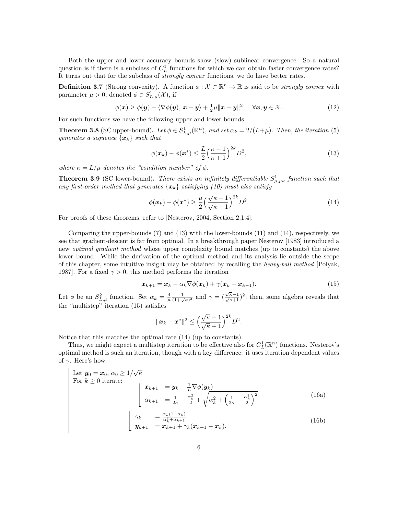Both the upper and lower accuracy bounds show (slow) sublinear convergence. So a natural question is if there is a subclass of  $C<sub>L</sub><sup>1</sup>$  functions for which we can obtain faster convergence rates? It turns out that for the subclass of *strongly convex* functions, we do have better rates.

**Definition 3.7** (Strong convexity). A function  $\phi : \mathcal{X} \subset \mathbb{R}^n \to \mathbb{R}$  is said to be *strongly convex* with parameter  $\mu > 0$ , denoted  $\phi \in S^1_{L,\mu}(\mathcal{X})$ , if

$$
\phi(\boldsymbol{x}) \geq \phi(\boldsymbol{y}) + \langle \nabla \phi(\boldsymbol{y}), \, \boldsymbol{x} - \boldsymbol{y} \rangle + \frac{1}{2} \mu \| \boldsymbol{x} - \boldsymbol{y} \|^2, \quad \forall \boldsymbol{x}, \boldsymbol{y} \in \mathcal{X}.
$$
 (12)

For such functions we have the following upper and lower bounds.

**Theorem 3.8** (SC upper-bound). Let  $\phi \in S^1_{L,\mu}(\mathbb{R}^n)$ , and set  $\alpha_k = 2/(L+\mu)$ . Then, the iteration (5) generates a sequence  $\{x_k\}$  such that

$$
\phi(\boldsymbol{x}_k) - \phi(\boldsymbol{x}^*) \le \frac{L}{2} \left(\frac{\kappa - 1}{\kappa + 1}\right)^{2k} D^2,\tag{13}
$$

where  $\kappa = L/\mu$  denotes the "condition number" of  $\phi$ .

**Theorem 3.9** (SC lower-bound). There exists an infinitely differentiable  $S^1_{\mu,\mu\kappa}$  function such that any first-order method that generates  $\{x_k\}$  satisfying (10) must also satisfy

$$
\phi(\boldsymbol{x}_k) - \phi(\boldsymbol{x}^*) \ge \frac{\mu}{2} \left(\frac{\sqrt{\kappa} - 1}{\sqrt{\kappa} + 1}\right)^{2k} D^2.
$$
\n(14)

For proofs of these theorems, refer to [Nesterov, 2004, Section 2.1.4].

Comparing the upper-bounds (7) and (13) with the lower-bounds (11) and (14), respectively, we see that gradient-descent is far from optimal. In a breakthrough paper Nesterov [1983] introduced a new optimal gradient method whose upper complexity bound matches (up to constants) the above lower bound. While the derivation of the optimal method and its analysis lie outside the scope of this chapter, some intuitive insight may be obtained by recalling the heavy-ball method [Polyak, 1987]. For a fixed  $\gamma > 0$ , this method performs the iteration

$$
\boldsymbol{x}_{k+1} = \boldsymbol{x}_k - \alpha_k \nabla \phi(\boldsymbol{x}_k) + \gamma(\boldsymbol{x}_k - \boldsymbol{x}_{k-1}). \tag{15}
$$

Let  $\phi$  be an  $S_{L,\mu}^2$  function. Set  $\alpha_k = \frac{4}{\mu} \frac{1}{(1+\sqrt{\kappa})^2}$  and  $\gamma = (\frac{\sqrt{\kappa}-1}{\sqrt{\kappa}+1})^2$ ; then, some algebra reveals that the "multistep" iteration (15) satisfies

$$
\|\bm{x}_k - \bm{x}^*\|^2 \le \Big(\frac{\sqrt{\kappa} - 1}{\sqrt{\kappa} + 1}\Big)^{2k} D^2.
$$

Notice that this matches the optimal rate (14) (up to constants).

Thus, we might expect a multistep iteration to be effective also for  $C_L^1(\mathbb{R}^n)$  functions. Nesterov's optimal method is such an iteration, though with a key difference: it uses iteration dependent values of  $\gamma$ . Here's how.

| Let $y_0 = x_0, \, \alpha_0 \geq 1/\sqrt{\kappa}$                                                                                                                                                                                                                                            |       |
|----------------------------------------------------------------------------------------------------------------------------------------------------------------------------------------------------------------------------------------------------------------------------------------------|-------|
| For $k \geq 0$ iterate:                                                                                                                                                                                                                                                                      |       |
|                                                                                                                                                                                                                                                                                              |       |
| $\left\{ \begin{array}{rl} \displaystyle {\bm{x}}_{k+1} &= {\bm{y}}_k - \frac{1}{L}\nabla \phi({\bm{y}}_k) \[2mm] \displaystyle{\alpha_{k+1} &= \frac{1}{2\kappa} - \frac{\alpha_k^2}{2} + \sqrt{\alpha_k^2 + \left(\frac{1}{2\kappa} - \frac{\alpha_k^2}{2}\right)^2}} \end{array} \right.$ | (16a) |
|                                                                                                                                                                                                                                                                                              |       |
|                                                                                                                                                                                                                                                                                              |       |
|                                                                                                                                                                                                                                                                                              | (16b) |
| $\begin{array}{rcl} \gamma_k &= \frac{\alpha_k(1-\alpha_k)}{\alpha_k^2+\alpha_{k+1}} \[1mm] \bm{y}_{k+1} &= \bm{x}_{k+1} + \gamma_k(\bm{x}_{k+1}-\bm{x}_k). \end{array}$                                                                                                                     |       |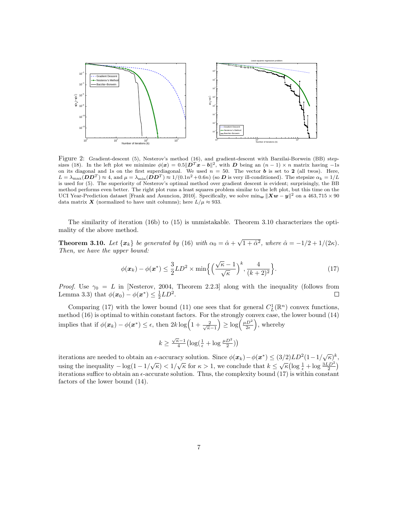

Figure 2: Gradient-descent (5), Nesterov's method (16), and gradient-descent with Barzilai-Borwein (BB) stepsizes (18). In the left plot we minimize  $\phi(x) = 0.5||\vec{D}^T x - \vec{b}||^2$ , with D being an  $(n-1) \times n$  matrix having -1s on its diagonal and 1s on the first superdiagonal. We used  $n = 50$ . The vector **b** is set to 2 (all twos). Here,  $L = \lambda_{\text{max}} (DD^T) \approx 4$ , and  $\mu = \lambda_{\text{min}} (DD^T) \approx 1/(0.1n^2 + 0.6n)$  (so **D** is very ill-conditioned). The stepsize  $\alpha_k = 1/L$ is used for (5). The superiority of Nesterov's optimal method over gradient descent is evident; surprisingly, the BB method performs even better. The right plot runs a least squares problem similar to the left plot, but this time on the UCI Year-Prediction dataset [Frank and Asuncion, 2010]. Specifically, we solve  $\min_{w} ||Xw - y||^2$  on a 463, 715 × 90 data matrix X (normalized to have unit columns); here  $L/\mu \approx 933$ .

The similarity of iteration (16b) to (15) is unmistakable. Theorem 3.10 characterizes the optimality of the above method.

**Theorem 3.10.** Let  $\{x_k\}$  be generated by (16) with  $\alpha_0 = \hat{\alpha} + \sqrt{1 + \hat{\alpha}^2}$ , where  $\hat{\alpha} = -1/2 + 1/(2\kappa)$ . Then, we have the upper bound:

$$
\phi(\boldsymbol{x}_k) - \phi(\boldsymbol{x}^*) \le \frac{3}{2}LD^2 \times \min\left\{ \left(\frac{\sqrt{\kappa} - 1}{\sqrt{\kappa}}\right)^k, \frac{4}{(k+2)^2} \right\}.
$$
 (17)

*Proof.* Use  $\gamma_0 = L$  in [Nesterov, 2004, Theorem 2.2.3] along with the inequality (follows from Lemma 3.3) that  $\phi(\mathbf{x}_0) - \phi(\mathbf{x}^*) \leq \frac{1}{2}LD^2$ . П

Comparing (17) with the lower bound (11) one sees that for general  $C_L^1(\mathbb{R}^n)$  convex functions, Comparing (17) with the lower bound (11) one sees that for general  $U_L(\mathbb{R})$  convex functions,<br>method (16) is optimal to within constant factors. For the strongly convex case, the lower bound (14) implies that if  $\phi(\mathbf{x}_k) - \phi(\mathbf{x}^*) \leq \epsilon$ , then  $2k \log \left(1 + \frac{2}{\sqrt{\kappa} - 1}\right)$  $\left(\frac{\mu D^2}{2\epsilon}\right)$ , whereby

$$
k \geq \tfrac{\sqrt{\kappa}-1}{4}\bigl(\log\bigl(\tfrac{1}{\epsilon} + \log\tfrac{\mu D^2}{2}\bigr)\bigr)
$$

iterations are needed to obtain an  $\epsilon$ -accuracy solution. Since  $\phi(\mathbf{x}_k) - \phi(\mathbf{x}^*) \leq (3/2) L D^2 (1 - 1/\sqrt{\kappa})^k$ using the inequality  $-\log(1-1/\sqrt{\kappa}) < 1/\sqrt{\kappa}$  for  $\kappa > 1$ , we conclude that  $k \leq \sqrt{\kappa}(\log\frac{1}{\epsilon} + \log\frac{3LD^2}{2})$ iterations suffice to obtain an  $\epsilon$ -accurate solution. Thus, the complexity bound (17) is within constant factors of the lower bound (14).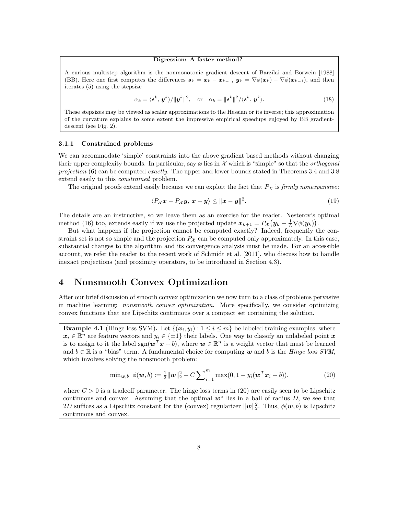#### Digression: A faster method?

A curious multistep algorithm is the nonmonotonic gradient descent of Barzilai and Borwein [1988] (BB). Here one first computes the differences  $s_k = x_k - x_{k-1}$ ,  $y_k = \nabla \phi(x_k) - \nabla \phi(x_{k-1})$ , and then iterates (5) using the stepsize

$$
\alpha_k = \langle \mathbf{s}^k, \mathbf{y}^k \rangle / ||\mathbf{y}^k||^2, \quad \text{or} \quad \alpha_k = ||\mathbf{s}^k||^2 / \langle \mathbf{s}^k, \mathbf{y}^k \rangle. \tag{18}
$$

These stepsizes may be viewed as scalar approximations to the Hessian or its inverse; this approximation of the curvature explains to some extent the impressive empirical speedups enjoyed by BB gradientdescent (see Fig. 2).

#### 3.1.1 Constrained problems

We can accommodate 'simple' constraints into the above gradient based methods without changing their upper complexity bounds. In particular, say  $x$  lies in  $\mathcal X$  which is "simple" so that the *orthogonal* projection  $(6)$  can be computed exactly. The upper and lower bounds stated in Theorems 3.4 and 3.8 extend easily to this constrained problem.

The original proofs extend easily because we can exploit the fact that  $P_{\mathcal{X}}$  is firmly nonexpansive:

$$
\langle P_{\mathcal{X}}\boldsymbol{x} - P_{\mathcal{X}}\boldsymbol{y}, \boldsymbol{x} - \boldsymbol{y} \rangle \le ||\boldsymbol{x} - \boldsymbol{y}||^2. \tag{19}
$$

The details are an instructive, so we leave them as an exercise for the reader. Nesterov's optimal method (16) too, extends easily if we use the projected update  $x_{k+1} = P_{\mathcal{X}}(y_k - \frac{1}{L}\nabla \phi(y_k)).$ 

But what happens if the projection cannot be computed exactly? Indeed, frequently the constraint set is not so simple and the projection  $P_{\mathcal{X}}$  can be computed only approximately. In this case, substantial changes to the algorithm and its convergence analysis must be made. For an accessible account, we refer the reader to the recent work of Schmidt et al. [2011], who discuss how to handle inexact projections (and proximity operators, to be introduced in Section 4.3).

### 4 Nonsmooth Convex Optimization

After our brief discussion of smooth convex optimization we now turn to a class of problems pervasive in machine learning: *nonsmooth convex optimization*. More specifically, we consider optimizing convex functions that are Lipschitz continuous over a compact set containing the solution.

**Example 4.1** (Hinge loss SVM). Let  $\{(x_i, y_i) : 1 \le i \le m\}$  be labeled training examples, where  $x_i \in \mathbb{R}^n$  are feature vectors and  $y_i \in \{\pm 1\}$  their labels. One way to classify an unlabeled point x is to assign to it the label  $sgn(w^T x + b)$ , where  $w \in \mathbb{R}^n$  is a weight vector that must be learned and  $b \in \mathbb{R}$  is a "bias" term. A fundamental choice for computing w and b is the *Hinge loss SVM*, which involves solving the nonsmooth problem:

$$
\min_{\mathbf{w},b} \phi(\mathbf{w},b) := \frac{1}{2} ||\mathbf{w}||_2^2 + C \sum_{i=1}^m \max(0, 1 - y_i(\mathbf{w}^T \mathbf{x}_i + b)), \tag{20}
$$

where  $C > 0$  is a tradeoff parameter. The hinge loss terms in (20) are easily seen to be Lipschitz continuous and convex. Assuming that the optimal  $w^*$  lies in a ball of radius D, we see that 2D suffices as a Lipschitz constant for the (convex) regularizer  $\|\mathbf{w}\|_2^2$ . Thus,  $\phi(\mathbf{w}, b)$  is Lipschitz continuous and convex.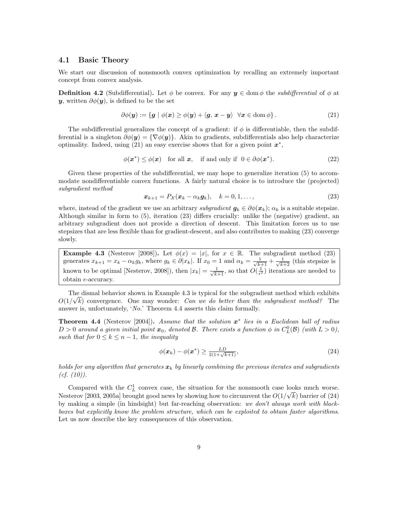#### 4.1 Basic Theory

We start our discussion of nonsmooth convex optimization by recalling an extremely important concept from convex analysis.

**Definition 4.2** (Subdifferential). Let  $\phi$  be convex. For any  $y \in \text{dom } \phi$  the *subdifferential* of  $\phi$  at **y**, written  $\partial \phi(\mathbf{y})$ , is defined to be the set

$$
\partial \phi(\mathbf{y}) := \{ \mathbf{g} \mid \phi(\mathbf{x}) \ge \phi(\mathbf{y}) + \langle \mathbf{g}, \mathbf{x} - \mathbf{y} \rangle \quad \forall \mathbf{x} \in \text{dom} \phi \} \,.
$$

The subdifferential generalizes the concept of a gradient: if  $\phi$  is differentiable, then the subdifferential is a singleton  $\partial \phi(\mathbf{y}) = {\nabla \phi(\mathbf{y})}.$  Akin to gradients, subdifferentials also help characterize optimality. Indeed, using  $(21)$  an easy exercise shows that for a given point  $x^*$ ,

$$
\phi(\mathbf{x}^*) \le \phi(\mathbf{x}) \quad \text{for all } \mathbf{x}, \quad \text{if and only if} \quad 0 \in \partial \phi(\mathbf{x}^*). \tag{22}
$$

Given these properties of the subdifferential, we may hope to generalize iteration (5) to accommodate nondifferentiable convex functions. A fairly natural choice is to introduce the (projected) subgradient method

$$
\boldsymbol{x}_{k+1} = P_{\mathcal{X}}(\boldsymbol{x}_k - \alpha_k \boldsymbol{g}_k), \quad k = 0, 1, \dots,
$$
\n
$$
(23)
$$

where, instead of the gradient we use an arbitrary *subgradient*  $g_k \in \partial \phi(x_k)$ ;  $\alpha_k$  is a suitable stepsize. Although similar in form to (5), iteration (23) differs crucially: unlike the (negative) gradient, an arbitrary subgradient does not provide a direction of descent. This limitation forces us to use stepsizes that are less flexible than for gradient-descent, and also contributes to making (23) converge slowly.

**Example 4.3** (Nesterov [2008]). Let  $\phi(x) = |x|$ , for  $x \in \mathbb{R}$ . The subgradient method (23) generates  $x_{k+1} = x_k - \alpha_k g_k$ , where  $g_k \in \partial |x_k|$ . If  $x_0 = 1$  and  $\alpha_k = \frac{1}{\sqrt{k+1}} + \frac{1}{\sqrt{k+2}}$  (this stepsize is known to be optimal [Nesterov, 2008]), then  $|x_k| = \frac{1}{\sqrt{k+1}}$ , so that  $O(\frac{1}{\epsilon^2})$  iterations are needed to obtain  $\epsilon$ -accuracy.

The dismal behavior shown in Example 4.3 is typical for the subgradient method which exhibits  $O(1/\sqrt{k})$  convergence. One may wonder: Can we do better than the subgradient method? The answer is, unfortunately, 'No.' Theorem 4.4 asserts this claim formally.

**Theorem 4.4** (Nesterov [2004]). Assume that the solution  $x^*$  lies in a Euclidean ball of radius  $D > 0$  around a given initial point  $x_0$ , denoted B. There exists a function  $\phi$  in  $C_L^0(\mathcal{B})$  (with  $L > 0$ ), such that for  $0 \leq k \leq n-1$ , the inequality

$$
\phi(\boldsymbol{x}_k) - \phi(\boldsymbol{x}^*) \ge \frac{LD}{2(1+\sqrt{k+1})},\tag{24}
$$

holds for any algorithm that generates  $x_k$  by linearly combining the previous iterates and subgradients  $(cf. (10)).$ 

Compared with the  $C<sub>L</sub><sup>1</sup>$  convex case, the situation for the nonsmooth case looks much worse. Nesterov [2003, 2005a] brought good news by showing how to circumvent the  $O(1/\sqrt{k})$  barrier of (24) by making a simple (in hindsight) but far-reaching observation: we don't always work with blackboxes but explicitly know the problem structure, which can be exploited to obtain faster algorithms. Let us now describe the key consequences of this observation.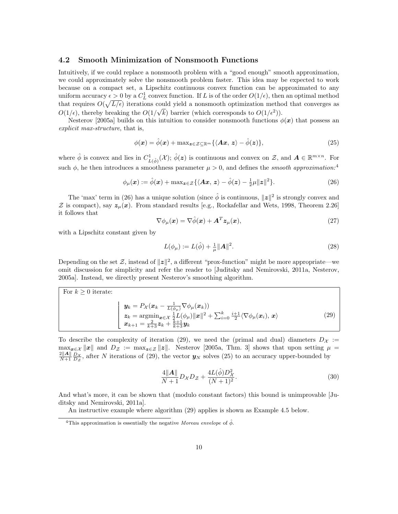#### 4.2 Smooth Minimization of Nonsmooth Functions

Intuitively, if we could replace a nonsmooth problem with a "good enough" smooth approximation, we could approximately solve the nonsmooth problem faster. This idea may be expected to work because on a compact set, a Lipschitz continuous convex function can be approximated to any uniform accuracy  $\epsilon > 0$  by a  $C_L^1$  convex function. If L is of the order  $O(1/\epsilon)$ , then an optimal method that requires  $O(\sqrt{L/\epsilon})$  iterations could yield a nonsmooth optimization method that converges as  $O(1/\epsilon)$ , thereby breaking the  $O(1/\sqrt{k})$  barrier (which corresponds to  $O(1/\epsilon^2)$ ).

Nesterov [2005a] builds on this intuition to consider nonsmooth functions  $\phi(\mathbf{x})$  that possess an explicit max-structure, that is,

$$
\phi(\boldsymbol{x}) = \hat{\phi}(\boldsymbol{x}) + \max_{\boldsymbol{z} \in \mathcal{Z} \subseteq \mathbb{R}^m} \{ \langle \boldsymbol{A}\boldsymbol{x}, \, \boldsymbol{z} \rangle - \hat{\phi}(\boldsymbol{z}) \},\tag{25}
$$

where  $\hat{\phi}$  is convex and lies in  $C_{L(\hat{\phi})}^1(\mathcal{X}); \hat{\phi}(z)$  is continuous and convex on  $\mathcal{Z}$ , and  $\mathbf{A} \in \mathbb{R}^{m \times n}$ . For such  $\phi$ , he then introduces a smoothness parameter  $\mu > 0$ , and defines the *smooth approximation*:<sup>4</sup>

$$
\phi_{\mu}(\boldsymbol{x}) := \hat{\phi}(\boldsymbol{x}) + \max_{\boldsymbol{z} \in \mathcal{Z}} \{ \langle \boldsymbol{A}\boldsymbol{x}, \boldsymbol{z} \rangle - \hat{\phi}(\boldsymbol{z}) - \frac{1}{2}\mu \|\boldsymbol{z}\|^2 \}.
$$
 (26)

The 'max' term in (26) has a unique solution (since  $\hat{\phi}$  is continuous,  $||z||^2$  is strongly convex and  $Z$  is compact), say  $z_{\mu}(x)$ . From standard results [e.g., Rockafellar and Wets, 1998, Theorem 2.26] it follows that

$$
\nabla \phi_{\mu}(\boldsymbol{x}) = \nabla \hat{\phi}(\boldsymbol{x}) + \boldsymbol{A}^{T} \boldsymbol{z}_{\mu}(\boldsymbol{x}), \qquad (27)
$$

with a Lipschitz constant given by

$$
L(\phi_{\mu}) := L(\hat{\phi}) + \frac{1}{\mu} ||A||^2.
$$
 (28)

Depending on the set Z, instead of  $||z||^2$ , a different "prox-function" might be more appropriate—we omit discussion for simplicity and refer the reader to [Juditsky and Nemirovski, 2011a, Nesterov, 2005a]. Instead, we directly present Nesterov's smoothing algorithm.

| For $k > 0$ iterate: |                                                                                                                                                                                                                                                                                                                                                                                                                            |      |
|----------------------|----------------------------------------------------------------------------------------------------------------------------------------------------------------------------------------------------------------------------------------------------------------------------------------------------------------------------------------------------------------------------------------------------------------------------|------|
|                      | $\boldsymbol{y}_k = P_{\mathcal{X}}(\boldsymbol{x}_k - \frac{1}{L(\phi_{\mu})}\nabla \phi_{\mu}(\boldsymbol{x}_k)) \;.$<br>$\mathbf{z}_k = \operatorname{argmin}_{\mathbf{x} \in \mathcal{X}} \frac{1}{2} L(\phi_\mu) \ \mathbf{x}\ ^2 + \sum_{i=0}^k \frac{i+1}{2} \langle \nabla \phi_\mu(\mathbf{x}_i), \mathbf{x} \rangle$<br>$\boldsymbol{x}_{k+1} = \frac{2}{k+3}\boldsymbol{z}_k + \frac{k+1}{k+3}\boldsymbol{y}_k$ | (29) |

To describe the complexity of iteration (29), we need the (primal and dual) diameters  $D_{\mathcal{X}}$  :=  $\max_{\mathbf{z}\in\mathcal{X}}\|\mathbf{x}\|$  and  $D_{\mathcal{Z}} := \max_{\mathbf{z}\in\mathcal{Z}}\|\mathbf{z}\|$ . Nesterov [2005a, Thm. 3] shows that upon setting  $\mu =$  $\frac{2||A||}{N+1} \frac{D_X}{D_Z}$ , after N iterations of (29), the vector  $y_N$  solves (25) to an accuracy upper-bounded by

$$
\frac{4||\mathbf{A}||}{N+1}D_{\mathcal{X}}D_{\mathcal{Z}} + \frac{4L(\hat{\phi})D_{\mathcal{X}}^2}{(N+1)^2}.
$$
\n(30)

And what's more, it can be shown that (modulo constant factors) this bound is unimprovable [Juditsky and Nemirovski, 2011a].

An instructive example where algorithm (29) applies is shown as Example 4.5 below.

<sup>&</sup>lt;sup>4</sup>This approximation is essentially the negative Moreau envelope of  $\hat{\phi}$ .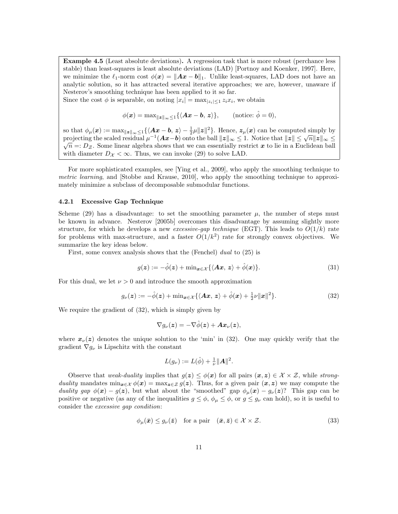Example 4.5 (Least absolute deviations). A regression task that is more robust (perchance less stable) than least-squares is least absolute deviations (LAD) [Portnoy and Koenker, 1997]. Here, we minimize the  $\ell_1$ -norm cost  $\phi(\mathbf{x}) = \|\mathbf{A}\mathbf{x} - \mathbf{b}\|_1$ . Unlike least-squares, LAD does not have an analytic solution, so it has attracted several iterative approaches; we are, however, unaware if Nesterov's smoothing technique has been applied to it so far.

Since the cost  $\phi$  is separable, on noting  $|x_i| = \max_{|z_i| \leq 1} z_i x_i$ , we obtain

$$
\phi(\boldsymbol{x}) = \max_{\|\boldsymbol{z}\|_{\infty} \leq 1} \{ \langle \boldsymbol{A}\boldsymbol{x} - \boldsymbol{b}, \boldsymbol{z} \rangle \}, \qquad \text{(notice: } \hat{\phi} = 0),
$$

so that  $\phi_{\mu}(\boldsymbol{x}) := \max_{\|\boldsymbol{x}\|_{\infty} \leq 1} \{ \langle \boldsymbol{A}\boldsymbol{x} - \boldsymbol{b}, \boldsymbol{z} \rangle - \frac{1}{2}\mu\|\boldsymbol{z}\|^2 \}.$  Hence,  $\boldsymbol{z}_{\mu}(\boldsymbol{x})$  can be computed simply by projecting the scaled residual  $\mu^{-1}(Ax-b)$  onto the ball  $||z||_{\infty} \leq 1$ . Notice that  $||z|| \leq \sqrt{n} ||z||_{\infty} \leq$  $\sqrt{n}$  =:  $D_z$ . Some linear algebra shows that we can essentially restrict x to lie in a Euclidean ball with diameter  $D_{\mathcal{X}} < \infty$ . Thus, we can invoke (29) to solve LAD.

For more sophisticated examples, see [Ying et al., 2009], who apply the smoothing technique to metric learning, and [Stobbe and Krause, 2010], who apply the smoothing technique to approximately minimize a subclass of decomposable submodular functions.

#### 4.2.1 Excessive Gap Technique

Scheme (29) has a disadvantage: to set the smoothing parameter  $\mu$ , the number of steps must be known in advance. Nesterov [2005b] overcomes this disadvantage by assuming slightly more structure, for which he develops a new *excessive-gap technique* (EGT). This leads to  $O(1/k)$  rate for problems with max-structure, and a faster  $O(1/k^2)$  rate for strongly convex objectives. We summarize the key ideas below.

First, some convex analysis shows that the (Fenchel) dual to  $(25)$  is

$$
g(z) := -\hat{\phi}(z) + \min_{\mathbf{x} \in \mathcal{X}} \{ \langle A\mathbf{x}, z \rangle + \hat{\phi}(\mathbf{x}) \}.
$$
 (31)

For this dual, we let  $\nu > 0$  and introduce the smooth approximation

$$
g_{\nu}(z) := -\hat{\phi}(z) + \min_{\boldsymbol{x} \in \mathcal{X}} \{ \langle \boldsymbol{A}\boldsymbol{x}, \, \boldsymbol{z} \rangle + \hat{\phi}(\boldsymbol{x}) + \frac{1}{2}\nu \|\boldsymbol{x}\|^2 \}. \tag{32}
$$

We require the gradient of (32), which is simply given by

$$
\nabla g_\nu(\boldsymbol{z}) = - \nabla \hat{\phi}(\boldsymbol{z}) + \boldsymbol{A} \boldsymbol{x}_\nu(\boldsymbol{z}),
$$

where  $x_{\nu}(z)$  denotes the unique solution to the 'min' in (32). One may quickly verify that the gradient  $\nabla g_{\nu}$  is Lipschitz with the constant

$$
L(g_{\nu}) := L(\hat{\phi}) + \frac{1}{\nu} ||A||^2.
$$

Observe that weak-duality implies that  $g(z) \leq \phi(x)$  for all pairs  $(x, z) \in \mathcal{X} \times \mathcal{Z}$ , while strongduality mandates  $\min_{x \in \mathcal{X}} \phi(x) = \max_{z \in \mathcal{Z}} g(z)$ . Thus, for a given pair  $(x, z)$  we may compute the duality gap  $\phi(x) - g(z)$ , but what about the "smoothed" gap  $\phi_{\mu}(x) - g_{\nu}(z)$ ? This gap can be positive or negative (as any of the inequalities  $g \leq \phi$ ,  $\phi_{\mu} \leq \phi$ , or  $g \leq g_{\nu}$  can hold), so it is useful to consider the excessive gap condition:

$$
\phi_{\mu}(\bar{x}) \le g_{\nu}(\bar{z}) \quad \text{for a pair} \quad (\bar{x}, \bar{z}) \in \mathcal{X} \times \mathcal{Z}.
$$
 (33)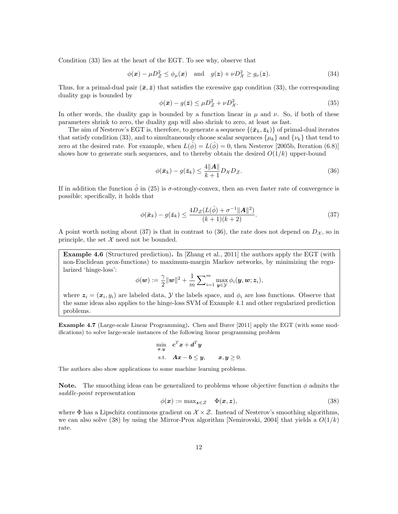Condition (33) lies at the heart of the EGT. To see why, observe that

$$
\phi(\mathbf{x}) - \mu D_{\mathcal{Z}}^2 \le \phi_{\mu}(\mathbf{x}) \quad \text{and} \quad g(\mathbf{z}) + \nu D_{\mathcal{X}}^2 \ge g_{\nu}(\mathbf{z}). \tag{34}
$$

Thus, for a primal-dual pair  $(\bar{x}, \bar{z})$  that satisfies the excessive gap condition (33), the corresponding duality gap is bounded by

$$
\phi(\bar{x}) - g(\bar{z}) \le \mu D_{\mathcal{Z}}^2 + \nu D_{\mathcal{X}}^2. \tag{35}
$$

In other words, the duality gap is bounded by a function linear in  $\mu$  and  $\nu$ . So, if both of these parameters shrink to zero, the duality gap will also shrink to zero, at least as fast.

The aim of Nesterov's EGT is, therefore, to generate a sequence  $\{(\bar{x}_k, \bar{z}_k)\}\$  of primal-dual iterates that satisfy condition (33), and to simultaneously choose scalar sequences  $\{\mu_k\}$  and  $\{\nu_k\}$  that tend to zero at the desired rate. For example, when  $L(\hat{\phi}) = L(\hat{\phi}) = 0$ , then Nesterov [2005b, Iteration (6.8)] shows how to generate such sequences, and to thereby obtain the desired  $O(1/k)$  upper-bound

$$
\phi(\bar{\boldsymbol{x}}_k) - g(\bar{\boldsymbol{z}}_k) \le \frac{4||\boldsymbol{A}||}{k+1} D_{\mathcal{X}} D_{\mathcal{Z}}.
$$
\n(36)

If in addition the function  $\phi$  in (25) is  $\sigma$ -strongly-convex, then an even faster rate of convergence is possible; specifically, it holds that

$$
\phi(\bar{x}_k) - g(\bar{z}_k) \le \frac{4D_{\mathcal{Z}}(L(\hat{\phi}) + \sigma^{-1}||\mathbf{A}||^2)}{(k+1)(k+2)}.
$$
\n(37)

A point worth noting about (37) is that in contrast to (36), the rate does not depend on  $D_{\mathcal{X}}$ , so in principle, the set  $\mathcal X$  need not be bounded.

Example 4.6 (Structured prediction). In [Zhang et al., 2011] the authors apply the EGT (with non-Euclidean prox-functions) to maximum-margin Markov networks, by minimizing the regularized 'hinge-loss':

$$
\phi(\boldsymbol{w}) := \frac{\gamma}{2} \|\boldsymbol{w}\|^2 + \frac{1}{m} \sum\nolimits_{i=1}^m \max_{\boldsymbol{y} \in \mathcal{Y}} \phi_i(\boldsymbol{y}, \boldsymbol{w}; \boldsymbol{z}_i),
$$

where  $z_i = (x_i, y_i)$  are labeled data,  $\mathcal{Y}$  the labels space, and  $\phi_i$  are loss functions. Observe that the same ideas also applies to the hinge-loss SVM of Example 4.1 and other regularized prediction problems.

Example 4.7 (Large-scale Linear Programming). Chen and Burer [2011] apply the EGT (with some modifications) to solve large-scale instances of the following linear programming problem

$$
\min_{\boldsymbol{x}, \boldsymbol{y}} \quad \boldsymbol{c}^T \boldsymbol{x} + \boldsymbol{d}^T \boldsymbol{y} \n\text{s.t.} \quad \boldsymbol{A}\boldsymbol{x} - \boldsymbol{b} \leq \boldsymbol{y}, \qquad \boldsymbol{x}, \boldsymbol{y} \geq 0.
$$

The authors also show applications to some machine learning problems.

**Note.** The smoothing ideas can be generalized to problems whose objective function  $\phi$  admits the saddle-point representation

$$
\phi(\boldsymbol{x}) := \max_{\boldsymbol{z} \in \mathcal{Z}} \quad \Phi(\boldsymbol{x}, \boldsymbol{z}), \tag{38}
$$

where  $\Phi$  has a Lipschitz continuous gradient on  $\mathcal{X} \times \mathcal{Z}$ . Instead of Nesterov's smoothing algorithms, we can also solve (38) by using the Mirror-Prox algorithm [Nemirovski, 2004] that yields a  $O(1/k)$ rate.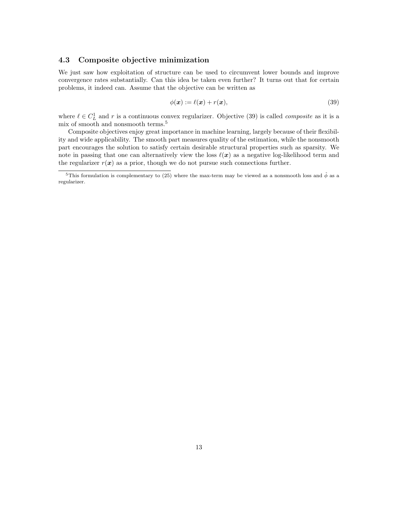#### 4.3 Composite objective minimization

We just saw how exploitation of structure can be used to circumvent lower bounds and improve convergence rates substantially. Can this idea be taken even further? It turns out that for certain problems, it indeed can. Assume that the objective can be written as

$$
\phi(\mathbf{x}) := \ell(\mathbf{x}) + r(\mathbf{x}),\tag{39}
$$

where  $\ell \in C_{L}^{1}$  and r is a continuous convex regularizer. Objective (39) is called *composite* as it is a mix of smooth and nonsmooth terms.<sup>5</sup>

Composite objectives enjoy great importance in machine learning, largely because of their flexibility and wide applicability. The smooth part measures quality of the estimation, while the nonsmooth part encourages the solution to satisfy certain desirable structural properties such as sparsity. We note in passing that one can alternatively view the loss  $\ell(x)$  as a negative log-likelihood term and the regularizer  $r(x)$  as a prior, though we do not pursue such connections further.

<sup>&</sup>lt;sup>5</sup>This formulation is complementary to (25) where the max-term may be viewed as a nonsmooth loss and  $\hat{\phi}$  as a regularizer.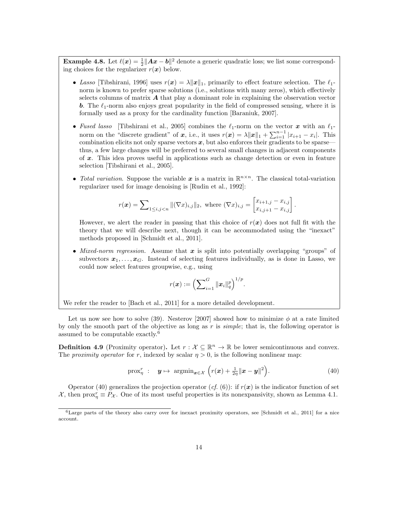**Example 4.8.** Let  $\ell(x) = \frac{1}{2} ||Ax - b||^2$  denote a generic quadratic loss; we list some corresponding choices for the regularizer  $r(x)$  below.

- Lasso [Tibshirani, 1996] uses  $r(x) = \lambda ||x||_1$ , primarily to effect feature selection. The  $\ell_1$ norm is known to prefer sparse solutions (i.e., solutions with many zeros), which effectively selects columns of matrix  $\boldsymbol{A}$  that play a dominant role in explaining the observation vector **b.** The  $\ell_1$ -norm also enjoys great popularity in the field of compressed sensing, where it is formally used as a proxy for the cardinality function [Baraniuk, 2007].
- Fused lasso [Tibshirani et al., 2005] combines the  $\ell_1$ -norm on the vector x with an  $\ell_1$ norm on the "discrete gradient" of x, i.e., it uses  $r(x) = \lambda ||x||_1 + \sum_{i=1}^{n-1} |x_{i+1} - x_i|$ . This combination elicits not only sparse vectors  $x$ , but also enforces their gradients to be sparse thus, a few large changes will be preferred to several small changes in adjacent components of  $x$ . This idea proves useful in applications such as change detection or even in feature selection [Tibshirani et al., 2005].
- Total variation. Suppose the variable x is a matrix in  $\mathbb{R}^{n \times n}$ . The classical total-variation regularizer used for image denoising is [Rudin et al., 1992]:

$$
r(\boldsymbol{x}) = \sum\nolimits_{1 \leq i,j < n} \| (\nabla x)_{i,j} \|_2, \text{ where } (\nabla x)_{i,j} = \begin{bmatrix} x_{i+1,j} - x_{i,j} \\ x_{i,j+1} - x_{i,j} \end{bmatrix}.
$$

However, we alert the reader in passing that this choice of  $r(x)$  does not full fit with the theory that we will describe next, though it can be accommodated using the "inexact" methods proposed in [Schmidt et al., 2011].

• Mixed-norm regression. Assume that  $x$  is split into potentially overlapping "groups" of subvectors  $x_1, \ldots, x_G$ . Instead of selecting features individually, as is done in Lasso, we could now select features groupwise, e.g., using

$$
r(\bm{x}) := \Bigl(\sum\nolimits_{i = 1}^G \| \bm{x}_i \|_q^p\Bigr)^{1/p}.
$$

We refer the reader to [Bach et al., 2011] for a more detailed development.

Let us now see how to solve (39). Nesterov [2007] showed how to minimize  $\phi$  at a rate limited by only the smooth part of the objective as long as r is simple; that is, the following operator is assumed to be computable exactly.<sup>6</sup>

**Definition 4.9** (Proximity operator). Let  $r : \mathcal{X} \subseteq \mathbb{R}^n \to \mathbb{R}$  be lower semicontinuous and convex. The *proximity operator* for r, indexed by scalar  $\eta > 0$ , is the following nonlinear map:

$$
\text{prox}_{\eta}^r : \quad \mathbf{y} \mapsto \text{ argmin}_{\mathbf{x} \in \mathcal{X}} \left( r(\mathbf{x}) + \frac{1}{2\eta} ||\mathbf{x} - \mathbf{y}||^2 \right). \tag{40}
$$

Operator (40) generalizes the projection operator  $(cf. (6))$ : if  $r(x)$  is the indicator function of set X, then  $prox_{\eta}^r \equiv P_{\mathcal{X}}$ . One of its most useful properties is its nonexpansivity, shown as Lemma 4.1.

 $6$ Large parts of the theory also carry over for inexact proximity operators, see [Schmidt et al., 2011] for a nice account.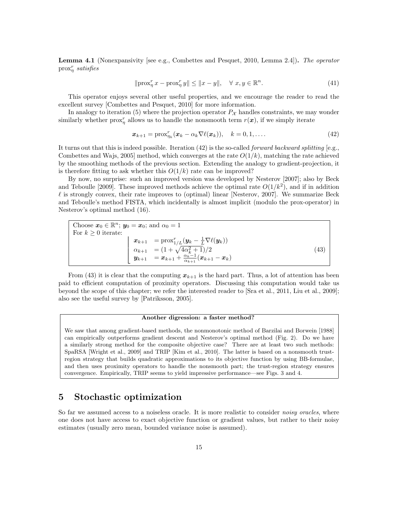Lemma 4.1 (Nonexpansivity [see e.g., Combettes and Pesquet, 2010, Lemma 2.4]). The operator  $prox_{\eta}^r$  satisfies

$$
\|\text{prox}_{\eta}^r x - \text{prox}_{\eta}^r y\| \le \|x - y\|, \quad \forall \ x, y \in \mathbb{R}^n. \tag{41}
$$

This operator enjoys several other useful properties, and we encourage the reader to read the excellent survey [Combettes and Pesquet, 2010] for more information.

In analogy to iteration (5) where the projection operator  $P_{\mathcal{X}}$  handles constraints, we may wonder similarly whether  $prox_{\eta}^r$  allows us to handle the nonsmooth term  $r(x)$ , if we simply iterate

$$
\boldsymbol{x}_{k+1} = \text{prox}_{\eta_k}^r(\boldsymbol{x}_k - \alpha_k \nabla \ell(\boldsymbol{x}_k)), \quad k = 0, 1, \dots
$$
\n<sup>(42)</sup>

It turns out that this is indeed possible. Iteration  $(42)$  is the so-called *forward backward splitting* [e.g., Combettes and Wajs, 2005] method, which converges at the rate  $O(1/k)$ , matching the rate achieved by the smoothing methods of the previous section. Extending the analogy to gradient-projection, it is therefore fitting to ask whether this  $O(1/k)$  rate can be improved?

By now, no surprise: such an improved version was developed by Nesterov [2007]; also by Beck and Teboulle [2009]. These improved methods achieve the optimal rate  $O(1/k^2)$ , and if in addition  $\ell$  is strongly convex, their rate improves to (optimal) linear [Nesterov, 2007]. We summarize Beck and Teboulle's method FISTA, which incidentally is almost implicit (modulo the prox-operator) in Nesterov's optimal method (16).

Choose 
$$
\mathbf{x}_0 \in \mathbb{R}^n
$$
;  $\mathbf{y}_0 = \mathbf{x}_0$ ; and  $\alpha_0 = 1$   
\nFor  $k \ge 0$  iterate:  
\n
$$
\begin{cases}\n\mathbf{x}_{k+1} = \text{prox}_{1/L}^r (\mathbf{y}_k - \frac{1}{L} \nabla \ell(\mathbf{y}_k)) \\
\alpha_{k+1} = (1 + \sqrt{4\alpha_k^2 + 1})/2 \\
\mathbf{y}_{k+1} = \mathbf{x}_{k+1} + \frac{\alpha_k - 1}{\alpha_{k+1}} (\mathbf{x}_{k+1} - \mathbf{x}_k)\n\end{cases}
$$
\n(43)

From (43) it is clear that the computing  $x_{k+1}$  is the hard part. Thus, a lot of attention has been paid to efficient computation of proximity operators. Discussing this computation would take us beyond the scope of this chapter; we refer the interested reader to [Sra et al., 2011, Liu et al., 2009]; also see the useful survey by [Patriksson, 2005].

#### Another digression: a faster method?

We saw that among gradient-based methods, the nonmonotonic method of Barzilai and Borwein [1988] can empirically outperforms gradient descent and Nesterov's optimal method (Fig. 2). Do we have a similarly strong method for the composite objective case? There are at least two such methods: SpaRSA [Wright et al., 2009] and TRIP [Kim et al., 2010]. The latter is based on a nonsmooth trustregion strategy that builds quadratic approximations to its objective function by using BB-formulae, and then uses proximity operators to handle the nonsmooth part; the trust-region strategy ensures convergence. Empirically, TRIP seems to yield impressive performance—see Figs. 3 and 4.

### 5 Stochastic optimization

So far we assumed access to a noiseless oracle. It is more realistic to consider *noisy oracles*, where one does not have access to exact objective function or gradient values, but rather to their noisy estimates (usually zero mean, bounded variance noise is assumed).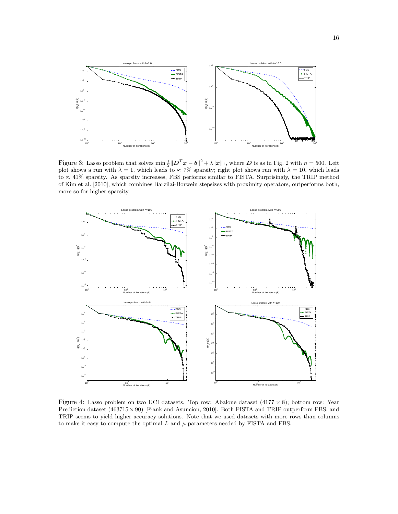

Figure 3: Lasso problem that solves  $\min \frac{1}{2} ||\mathbf{D}^T \mathbf{x} - \mathbf{b}||^2 + \lambda ||\mathbf{x}||_1$ , where  $\mathbf{D}$  is as in Fig. 2 with  $n = 500$ . Left plot shows a run with  $\lambda = 1$ , which leads to  $\approx 7\%$  sparsity; right plot shows run with  $\lambda = 10$ , which leads to ≈ 41% sparsity. As sparsity increases, FBS performs similar to FISTA. Surprisingly, the TRIP method of Kim et al. [2010], which combines Barzilai-Borwein stepsizes with proximity operators, outperforms both, more so for higher sparsity.



Figure 4: Lasso problem on two UCI datasets. Top row: Abalone dataset  $(4177 \times 8)$ ; bottom row: Year Prediction dataset  $(463715 \times 90)$  [Frank and Asuncion, 2010]. Both FISTA and TRIP outperform FBS, and TRIP seems to yield higher accuracy solutions. Note that we used datasets with more rows than columns to make it easy to compute the optimal  $L$  and  $\mu$  parameters needed by FISTA and FBS.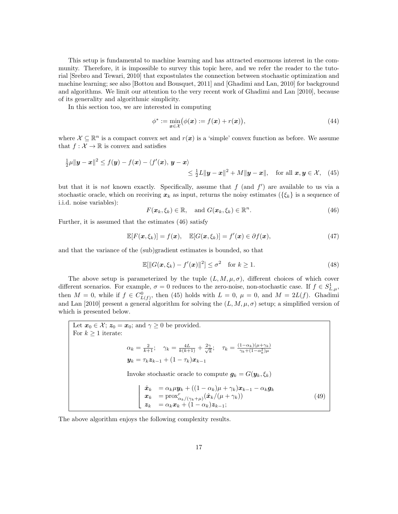This setup is fundamental to machine learning and has attracted enormous interest in the community. Therefore, it is impossible to survey this topic here, and we refer the reader to the tutorial [Srebro and Tewari, 2010] that expostulates the connection between stochastic optimization and machine learning; see also [Bottou and Bousquet, 2011] and [Ghadimi and Lan, 2010] for background and algorithms. We limit our attention to the very recent work of Ghadimi and Lan [2010], because of its generality and algorithmic simplicity.

In this section too, we are interested in computing

$$
\phi^* := \min_{\mathbf{x} \in \mathcal{X}} (\phi(\mathbf{x}) := f(\mathbf{x}) + r(\mathbf{x})),\tag{44}
$$

where  $\mathcal{X} \subseteq \mathbb{R}^n$  is a compact convex set and  $r(x)$  is a 'simple' convex function as before. We assume that  $f: \mathcal{X} \to \mathbb{R}$  is convex and satisfies

$$
\frac{1}{2}\mu\|\boldsymbol{y}-\boldsymbol{x}\|^2 \leq f(\boldsymbol{y})-f(\boldsymbol{x})-\langle f'(\boldsymbol{x}), \boldsymbol{y}-\boldsymbol{x}\rangle
$$
  

$$
\leq \frac{1}{2}L\|\boldsymbol{y}-\boldsymbol{x}\|^2+M\|\boldsymbol{y}-\boldsymbol{x}\|, \text{ for all } \boldsymbol{x}, \boldsymbol{y} \in \mathcal{X}, \quad (45)
$$

but that it is *not* known exactly. Specifically, assume that  $f$  (and  $f'$ ) are available to us via a stochastic oracle, which on receiving  $x_k$  as input, returns the noisy estimates ( $\{\xi_k\}$  is a sequence of i.i.d. noise variables):

$$
F(\boldsymbol{x}_k,\xi_k)\in\mathbb{R},\quad\text{and }G(\boldsymbol{x}_k,\xi_k)\in\mathbb{R}^n.\tag{46}
$$

Further, it is assumed that the estimates (46) satisfy

$$
\mathbb{E}[F(\boldsymbol{x},\xi_k)] = f(\boldsymbol{x}), \quad \mathbb{E}[G(\boldsymbol{x},\xi_k)] = f'(\boldsymbol{x}) \in \partial f(\boldsymbol{x}), \tag{47}
$$

and that the variance of the (sub)gradient estimates is bounded, so that

$$
\mathbb{E}[\|G(\boldsymbol{x},\xi_k) - f'(\boldsymbol{x})\|^2] \leq \sigma^2 \quad \text{for } k \geq 1.
$$
 (48)

The above setup is parameterized by the tuple  $(L, M, \mu, \sigma)$ , different choices of which cover different scenarios. For example,  $\sigma = 0$  reduces to the zero-noise, non-stochastic case. If  $f \in S^1_{L,\mu}$ , then  $M = 0$ , while if  $f \in C_{L(f)}^0$ , then (45) holds with  $L = 0$ ,  $\mu = 0$ , and  $M = 2L(f)$ . Ghadimi and Lan [2010] present a general algorithm for solving the  $(L, M, \mu, \sigma)$  setup; a simplified version of which is presented below.

Let  $x_0 \in \mathcal{X}$ ;  $z_0 = x_0$ ; and  $\gamma \geq 0$  be provided. For  $k\geq 1$  iterate:  $\alpha_k = \frac{2}{k+1}$ ;  $\gamma_k = \frac{4L}{k(k+1)} + \frac{2\gamma}{\sqrt{k}}$  $\frac{\gamma}{k}; \quad \tau_k = \frac{(1-\alpha_k)(\mu + \gamma_k)}{\gamma_k + (1-\alpha_k^2)\mu}$  $y_k = \tau_k z_{k-1} + (1 - \tau_k)x_{k-1}$ Invoke stochastic oracle to compute  $g_k = G(y_k, \xi_k)$   $\hat{\bm{x}}_k \ = \alpha_k \mu \bm{y}_k + ((1-\alpha_k)\mu + \gamma_k)\bm{x}_{k-1} - \alpha_k \bm{g}_k$  $\boldsymbol{x}_k \ = \text{prox}_{\alpha_k/(\gamma_k + \mu)}^r(\hat{\boldsymbol{x}}_k/(\mu + \gamma_k))$  $z_k = \alpha_k x_k + (1 - \alpha_k) z_{k-1};$ (49)

The above algorithm enjoys the following complexity results.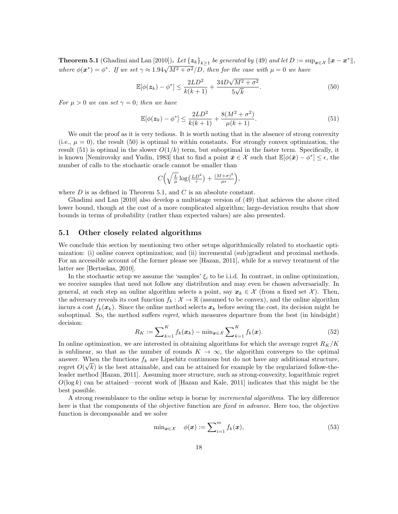**Theorem 5.1** (Ghadimi and Lan [2010]). Let  $\{z_k\}_{k\geq 1}$  be generated by (49) and let  $D := \sup_{\bm{x} \in \mathcal{X}} ||\bm{x} - \bm{x}^*||$ , where  $\phi(\mathbf{x}^*) = \phi^*$ . If we set  $\gamma \approx 1.94\sqrt{M^2 + \sigma^2}/D$ , then for the case with  $\mu = 0$  we have

$$
\mathbb{E}[\phi(z_k) - \phi^*] \le \frac{2LD^2}{k(k+1)} + \frac{34D\sqrt{M^2 + \sigma^2}}{5\sqrt{k}}.
$$
\n(50)

For  $\mu > 0$  we can set  $\gamma = 0$ ; then we have

$$
\mathbb{E}[\phi(z_k) - \phi^*] \le \frac{2LD^2}{k(k+1)} + \frac{8(M^2 + \sigma^2)}{\mu(k+1)}.
$$
\n(51)

We omit the proof as it is very tedious. It is worth noting that in the absence of strong convexity (i.e.,  $\mu = 0$ ), the result (50) is optimal to within constants. For strongly convex optimization, the result (51) is optimal in the slower  $O(1/k)$  term, but suboptimal in the faster term. Specifically, it is known [Nemirovsky and Yudin, 1983] that to find a point  $\bar{x} \in \mathcal{X}$  such that  $\mathbb{E}[\phi(\bar{x}) - \phi^*] \leq \epsilon$ , the number of calls to the stochastic oracle cannot be smaller than

$$
C\left(\sqrt{\frac{L}{\mu}}\log\left(\frac{LD^2}{\epsilon}\right)+\frac{(M+\sigma)^2}{\mu\epsilon}\right),\,
$$

where  $D$  is as defined in Theorem 5.1, and  $C$  is an absolute constant.

Ghadimi and Lan [2010] also develop a multistage version of (49) that achieves the above cited lower bound, though at the cost of a more complicated algorithm; large-deviation results that show bounds in terms of probability (rather than expected values) are also presented.

#### 5.1 Other closely related algorithms

We conclude this section by mentioning two other setups algorithmically related to stochastic optimization: (i) online convex optimization; and (ii) incremental (sub)gradient and proximal methods. For an accessible account of the former please see [Hazan, 2011], while for a survey treatment of the latter see [Bertsekas, 2010].

In the stochastic setup we assume the 'samples'  $\xi_i$  to be i.i.d. In contrast, in online optimization, we receive samples that need not follow any distribution and may even be chosen adversarially. In general, at each step an online algorithm selects a point, say  $x_k \in \mathcal{X}$  (from a fixed set X). Then, the adversary reveals its cost function  $f_k : \mathcal{X} \to \mathbb{R}$  (assumed to be convex), and the online algorithm incurs a cost  $f_k(x_k)$ . Since the online method selects  $x_k$  before seeing the cost, its decision might be suboptimal. So, the method suffers *regret*, which measures departure from the best (in hindsight) decision:

$$
R_K := \sum_{k=1}^K f_k(\boldsymbol{x}_k) - \min_{\boldsymbol{x} \in \mathcal{X}} \sum_{k=1}^K f_k(\boldsymbol{x}). \tag{52}
$$

In online optimization, we are interested in obtaining algorithms for which the average regret  $R_K/K$ is sublinear, so that as the number of rounds  $K \to \infty$ , the algorithm converges to the optimal answer. When the functions  $f_k$  are Lipschitz continuous but do not have any additional structure, regret  $O(\sqrt{k})$  is the best attainable, and can be attained for example by the regularized follow-theleader method [Hazan, 2011]. Assuming more structure, such as strong-convexity, logarithmic regret  $O(\log k)$  can be attained—recent work of [Hazan and Kale, 2011] indicates that this might be the best possible.

A strong resemblance to the online setup is borne by incremental algorithms. The key difference here is that the components of the objective function are fixed in advance. Here too, the objective function is decomposable and we solve

$$
\min_{\mathbf{x} \in \mathcal{X}} \quad \phi(\mathbf{x}) := \sum_{i=1}^{m} f_k(\mathbf{x}), \tag{53}
$$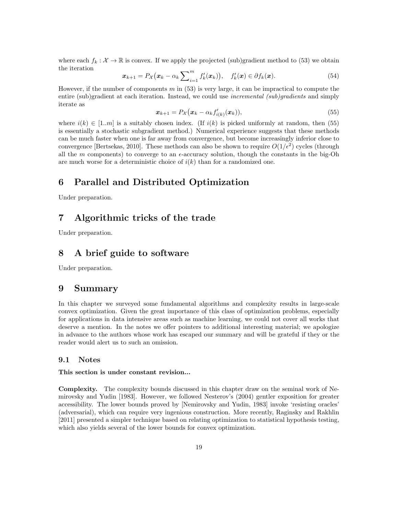where each  $f_k : \mathcal{X} \to \mathbb{R}$  is convex. If we apply the projected (sub)gradient method to (53) we obtain the iteration

$$
\boldsymbol{x}_{k+1} = P_{\mathcal{X}}(\boldsymbol{x}_k - \alpha_k \sum_{i=1}^m f'_k(\boldsymbol{x}_k)), \quad f'_k(\boldsymbol{x}) \in \partial f_k(\boldsymbol{x}). \tag{54}
$$

However, if the number of components  $m$  in (53) is very large, it can be impractical to compute the entire (sub)gradient at each iteration. Instead, we could use *incremental (sub)gradients* and simply iterate as

$$
\boldsymbol{x}_{k+1} = P_{\mathcal{X}}(\boldsymbol{x}_k - \alpha_k f'_{i(k)}(\boldsymbol{x}_k)),\tag{55}
$$

where  $i(k) \in [1..m]$  is a suitably chosen index. (If  $i(k)$  is picked uniformly at random, then (55) is essentially a stochastic subgradient method.) Numerical experience suggests that these methods can be much faster when one is far away from convergence, but become increasingly inferior close to convergence [Bertsekas, 2010]. These methods can also be shown to require  $O(1/\epsilon^2)$  cycles (through all the m components) to converge to an  $\epsilon$ -accuracy solution, though the constants in the big-Oh are much worse for a deterministic choice of  $i(k)$  than for a randomized one.

## 6 Parallel and Distributed Optimization

Under preparation.

## 7 Algorithmic tricks of the trade

Under preparation.

## 8 A brief guide to software

Under preparation.

### 9 Summary

In this chapter we surveyed some fundamental algorithms and complexity results in large-scale convex optimization. Given the great importance of this class of optimization problems, especially for applications in data intensive areas such as machine learning, we could not cover all works that deserve a mention. In the notes we offer pointers to additional interesting material; we apologize in advance to the authors whose work has escaped our summary and will be grateful if they or the reader would alert us to such an omission.

#### 9.1 Notes

#### This section is under constant revision...

Complexity. The complexity bounds discussed in this chapter draw on the seminal work of Nemirovsky and Yudin [1983]. However, we followed Nesterov's (2004) gentler exposition for greater accessibility. The lower bounds proved by [Nemirovsky and Yudin, 1983] invoke 'resisting oracles' (adversarial), which can require very ingenious construction. More recently, Raginsky and Rakhlin [2011] presented a simpler technique based on relating optimization to statistical hypothesis testing, which also yields several of the lower bounds for convex optimization.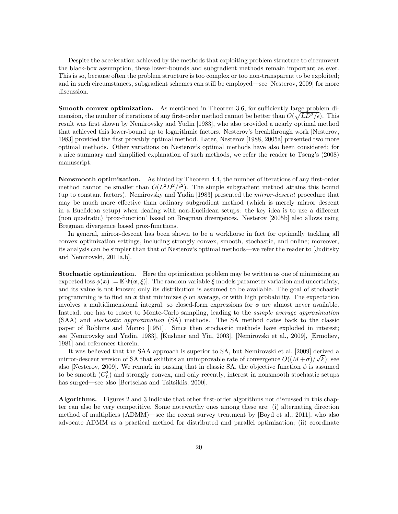Despite the acceleration achieved by the methods that exploiting problem structure to circumvent the black-box assumption, these lower-bounds and subgradient methods remain important as ever. This is so, because often the problem structure is too complex or too non-transparent to be exploited; and in such circumstances, subgradient schemes can still be employed—see [Nesterov, 2009] for more discussion.

Smooth convex optimization. As mentioned in Theorem 3.6, for sufficiently large problem dimension, the number of iterations of any first-order method cannot be better than  $O(\sqrt{LD^2/\epsilon})$ . This result was first shown by Nemirovsky and Yudin [1983], who also provided a nearly optimal method that achieved this lower-bound up to logarithmic factors. Nesterov's breakthrough work [Nesterov, 1983] provided the first provably optimal method. Later, Nesterov [1988, 2005a] presented two more optimal methods. Other variations on Nesterov's optimal methods have also been considered; for a nice summary and simplified explanation of such methods, we refer the reader to Tseng's (2008) manuscript.

Nonsmooth optimization. As hinted by Theorem 4.4, the number of iterations of any first-order method cannot be smaller than  $O(L^2D^2/\epsilon^2)$ . The simple subgradient method attains this bound (up to constant factors). Nemirovsky and Yudin [1983] presented the mirror-descent procedure that may be much more effective than ordinary subgradient method (which is merely mirror descent in a Euclidean setup) when dealing with non-Euclidean setups: the key idea is to use a different (non quadratic) 'prox-function' based on Bregman divergences. Nesterov [2005b] also allows using Bregman divergence based prox-functions.

In general, mirror-descent has been shown to be a workhorse in fact for optimally tackling all convex optimization settings, including strongly convex, smooth, stochastic, and online; moreover, its analysis can be simpler than that of Nesterov's optimal methods—we refer the reader to [Juditsky and Nemirovski, 2011a,b].

Stochastic optimization. Here the optimization problem may be written as one of minimizing an expected loss  $\phi(\mathbf{x}) := \mathbb{E}[\Phi(\mathbf{x}, \xi)]$ . The random variable  $\xi$  models parameter variation and uncertainty, and its value is not known; only its distribution is assumed to be available. The goal of stochastic programming is to find an x that minimizes  $\phi$  on average, or with high probability. The expectation involves a multidimensional integral, so closed-form expressions for  $\phi$  are almost never available. Instead, one has to resort to Monte-Carlo sampling, leading to the sample average approximation (SAA) and stochastic approximation (SA) methods. The SA method dates back to the classic paper of Robbins and Monro [1951]. Since then stochastic methods have exploded in interest; see [Nemirovsky and Yudin, 1983], [Kushner and Yin, 2003], [Nemirovski et al., 2009], [Ermoliev, 1981] and references therein.

It was believed that the SAA approach is superior to SA, but Nemirovski et al. [2009] derived a mirror-descent version of SA that exhibits an unimprovable rate of convergence  $O((M+\sigma)/\sqrt{k})$ ; see also [Nesterov, 2009]. We remark in passing that in classic SA, the objective function  $\phi$  is assumed to be smooth  $(C<sub>L</sub><sup>2</sup>)$  and strongly convex, and only recently, interest in nonsmooth stochastic setups has surged—see also [Bertsekas and Tsitsiklis, 2000].

Algorithms. Figures 2 and 3 indicate that other first-order algorithms not discussed in this chapter can also be very competitive. Some noteworthy ones among these are: (i) alternating direction method of multipliers (ADMM)—see the recent survey treatment by [Boyd et al., 2011], who also advocate ADMM as a practical method for distributed and parallel optimization; (ii) coordinate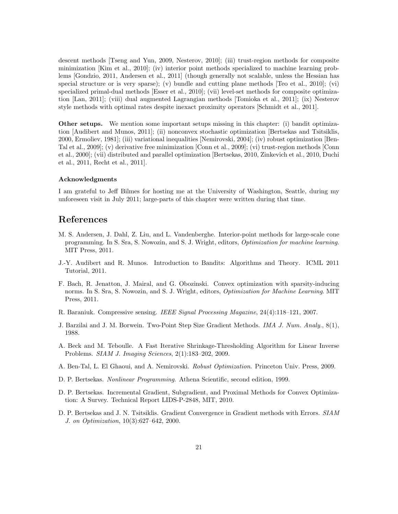descent methods [Tseng and Yun, 2009, Nesterov, 2010]; (iii) trust-region methods for composite minimization [Kim et al., 2010]; (iv) interior point methods specialized to machine learning problems [Gondzio, 2011, Andersen et al., 2011] (though generally not scalable, unless the Hessian has special structure or is very sparse); (v) bundle and cutting plane methods [Teo et al., 2010]; (vi) specialized primal-dual methods [Esser et al., 2010]; (vii) level-set methods for composite optimization [Lan, 2011]; (viii) dual augmented Lagrangian methods [Tomioka et al., 2011]; (ix) Nesterov style methods with optimal rates despite inexact proximity operators [Schmidt et al., 2011].

Other setups. We mention some important setups missing in this chapter: (i) bandit optimization [Audibert and Munos, 2011]; (ii) nonconvex stochastic optimization [Bertsekas and Tsitsiklis, 2000, Ermoliev, 1981]; (iii) variational inequalities [Nemirovski, 2004]; (iv) robust optimization [Ben-Tal et al., 2009]; (v) derivative free minimization [Conn et al., 2009]; (vi) trust-region methods [Conn et al., 2000]; (vii) distributed and parallel optimization [Bertsekas, 2010, Zinkevich et al., 2010, Duchi et al., 2011, Recht et al., 2011].

#### Acknowledgments

I am grateful to Jeff Bilmes for hosting me at the University of Washington, Seattle, during my unforeseen visit in July 2011; large-parts of this chapter were written during that time.

### References

- M. S. Andersen, J. Dahl, Z. Liu, and L. Vandenberghe. Interior-point methods for large-scale cone programming. In S. Sra, S. Nowozin, and S. J. Wright, editors, Optimization for machine learning. MIT Press, 2011.
- J.-Y. Audibert and R. Munos. Introduction to Bandits: Algorithms and Theory. ICML 2011 Tutorial, 2011.
- F. Bach, R. Jenatton, J. Mairal, and G. Obozinski. Convex optimization with sparsity-inducing norms. In S. Sra, S. Nowozin, and S. J. Wright, editors, *Optimization for Machine Learning*. MIT Press, 2011.
- R. Baraniuk. Compressive sensing. IEEE Signal Processing Magazine, 24(4):118–121, 2007.
- J. Barzilai and J. M. Borwein. Two-Point Step Size Gradient Methods. IMA J. Num. Analy., 8(1), 1988.
- A. Beck and M. Teboulle. A Fast Iterative Shrinkage-Thresholding Algorithm for Linear Inverse Problems. SIAM J. Imaging Sciences, 2(1):183–202, 2009.
- A. Ben-Tal, L. El Ghaoui, and A. Nemirovski. Robust Optimization. Princeton Univ. Press, 2009.
- D. P. Bertsekas. Nonlinear Programming. Athena Scientific, second edition, 1999.
- D. P. Bertsekas. Incremental Gradient, Subgradient, and Proximal Methods for Convex Optimization: A Survey. Technical Report LIDS-P-2848, MIT, 2010.
- D. P. Bertsekas and J. N. Tsitsiklis. Gradient Convergence in Gradient methods with Errors. SIAM J. on Optimization, 10(3):627–642, 2000.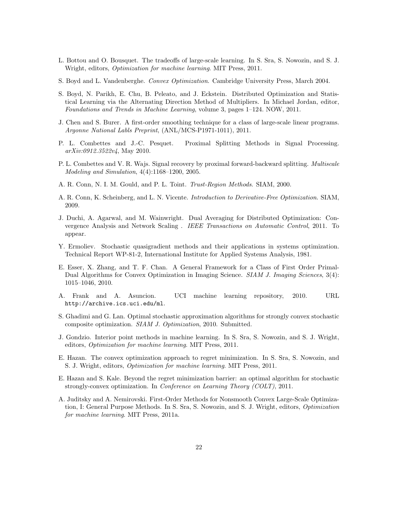- L. Bottou and O. Bousquet. The tradeoffs of large-scale learning. In S. Sra, S. Nowozin, and S. J. Wright, editors, Optimization for machine learning. MIT Press, 2011.
- S. Boyd and L. Vandenberghe. Convex Optimization. Cambridge University Press, March 2004.
- S. Boyd, N. Parikh, E. Chu, B. Peleato, and J. Eckstein. Distributed Optimization and Statistical Learning via the Alternating Direction Method of Multipliers. In Michael Jordan, editor, Foundations and Trends in Machine Learning, volume 3, pages 1–124. NOW, 2011.
- J. Chen and S. Burer. A first-order smoothing technique for a class of large-scale linear programs. Argonne National Labls Preprint, (ANL/MCS-P1971-1011), 2011.
- P. L. Combettes and J.-C. Pesquet. Proximal Splitting Methods in Signal Processing. arXiv:0912.3522v4, May 2010.
- P. L. Combettes and V. R. Wajs. Signal recovery by proximal forward-backward splitting. Multiscale Modeling and Simulation, 4(4):1168–1200, 2005.
- A. R. Conn, N. I. M. Gould, and P. L. Toint. Trust-Region Methods. SIAM, 2000.
- A. R. Conn, K. Scheinberg, and L. N. Vicente. Introduction to Derivative-Free Optimization. SIAM, 2009.
- J. Duchi, A. Agarwal, and M. Wainwright. Dual Averaging for Distributed Optimization: Convergence Analysis and Network Scaling . IEEE Transactions on Automatic Control, 2011. To appear.
- Y. Ermoliev. Stochastic quasigradient methods and their applications in systems optimization. Technical Report WP-81-2, International Institute for Applied Systems Analysis, 1981.
- E. Esser, X. Zhang, and T. F. Chan. A General Framework for a Class of First Order Primal-Dual Algorithms for Convex Optimization in Imaging Science. SIAM J. Imaging Sciences, 3(4): 1015–1046, 2010.
- A. Frank and A. Asuncion. UCI machine learning repository, 2010. URL http://archive.ics.uci.edu/ml.
- S. Ghadimi and G. Lan. Optimal stochastic approximation algorithms for strongly convex stochastic composite optimization. SIAM J. Optimization, 2010. Submitted.
- J. Gondzio. Interior point methods in machine learning. In S. Sra, S. Nowozin, and S. J. Wright, editors, Optimization for machine learning. MIT Press, 2011.
- E. Hazan. The convex optimization approach to regret minimization. In S. Sra, S. Nowozin, and S. J. Wright, editors, Optimization for machine learning. MIT Press, 2011.
- E. Hazan and S. Kale. Beyond the regret minimization barrier: an optimal algorithm for stochastic strongly-convex optimization. In Conference on Learning Theory (COLT), 2011.
- A. Juditsky and A. Nemirovski. First-Order Methods for Nonsmooth Convex Large-Scale Optimization, I: General Purpose Methods. In S. Sra, S. Nowozin, and S. J. Wright, editors, Optimization for machine learning. MIT Press, 2011a.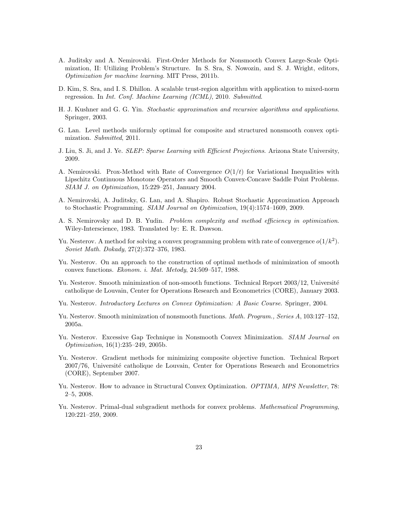- A. Juditsky and A. Nemirovski. First-Order Methods for Nonsmooth Convex Large-Scale Optimization, II: Utilizing Problem's Structure. In S. Sra, S. Nowozin, and S. J. Wright, editors, Optimization for machine learning. MIT Press, 2011b.
- D. Kim, S. Sra, and I. S. Dhillon. A scalable trust-region algorithm with application to mixed-norm regression. In Int. Conf. Machine Learning (ICML), 2010. Submitted.
- H. J. Kushner and G. G. Yin. Stochastic approximation and recursive algorithms and applications. Springer, 2003.
- G. Lan. Level methods uniformly optimal for composite and structured nonsmooth convex optimization. Submitted, 2011.
- J. Liu, S. Ji, and J. Ye. *SLEP: Sparse Learning with Efficient Projections*. Arizona State University, 2009.
- A. Nemirovski. Prox-Method with Rate of Convergence  $O(1/t)$  for Variational Inequalities with Lipschitz Continuous Monotone Operators and Smooth Convex-Concave Saddle Point Problems. SIAM J. on Optimization, 15:229–251, January 2004.
- A. Nemirovski, A. Juditsky, G. Lan, and A. Shapiro. Robust Stochastic Approximation Approach to Stochastic Programming. SIAM Journal on Optimization, 19(4):1574–1609, 2009.
- A. S. Nemirovsky and D. B. Yudin. Problem complexity and method efficiency in optimization. Wiley-Interscience, 1983. Translated by: E. R. Dawson.
- Yu. Nesterov. A method for solving a convex programming problem with rate of convergence  $o(1/k^2)$ . Soviet Math. Dokady, 27(2):372–376, 1983.
- Yu. Nesterov. On an approach to the construction of optimal methods of minimization of smooth convex functions. Ekonom. i. Mat. Metody, 24:509–517, 1988.
- Yu. Nesterov. Smooth minimization of non-smooth functions. Technical Report 2003/12, Université catholique de Louvain, Center for Operations Research and Econometrics (CORE), January 2003.
- Yu. Nesterov. Introductory Lectures on Convex Optimization: A Basic Course. Springer, 2004.
- Yu. Nesterov. Smooth minimization of nonsmooth functions. *Math. Program.*, Series A, 103:127–152, 2005a.
- Yu. Nesterov. Excessive Gap Technique in Nonsmooth Convex Minimization. SIAM Journal on Optimization, 16(1):235–249, 2005b.
- Yu. Nesterov. Gradient methods for minimizing composite objective function. Technical Report 2007/76, Université catholique de Louvain, Center for Operations Research and Econometrics (CORE), September 2007.
- Yu. Nesterov. How to advance in Structural Convex Optimization. *OPTIMA*, *MPS Newsletter*, 78: 2–5, 2008.
- Yu. Nesterov. Primal-dual subgradient methods for convex problems. Mathematical Programming, 120:221–259, 2009.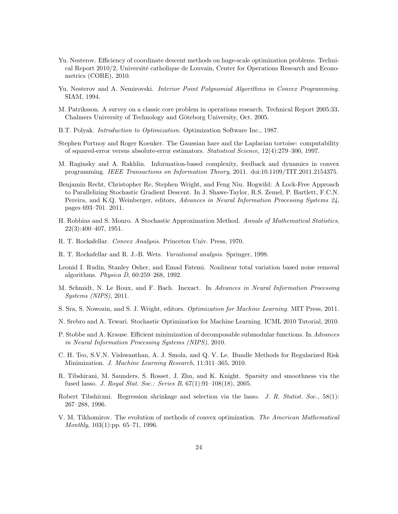- Yu. Nesterov. Efficiency of coordinate descent methods on huge-scale optimization problems. Technical Report  $2010/2$ , Université catholique de Louvain, Center for Operations Research and Econometrics (CORE), 2010.
- Yu. Nesterov and A. Nemirovski. *Interior Point Polynomial Algorithms in Convex Programming.* SIAM, 1994.
- M. Patriksson. A survey on a classic core problem in operations research. Technical Report 2005:33, Chalmers University of Technology and Göteborg University, Oct. 2005.
- B.T. Polyak. Introduction to Optimization. Optimization Software Inc., 1987.
- Stephen Portnoy and Roger Koenker. The Gaussian hare and the Laplacian tortoise: computability of squared-error versus absolute-error estimators. Statistical Science, 12(4):279–300, 1997.
- M. Raginsky and A. Rakhlin. Information-based complexity, feedback and dynamics in convex programming. IEEE Transactions on Information Theory, 2011. doi:10.1109/TIT.2011.2154375.
- Benjamin Recht, Christopher Re, Stephen Wright, and Feng Niu. Hogwild: A Lock-Free Approach to Parallelizing Stochastic Gradient Descent. In J. Shawe-Taylor, R.S. Zemel, P. Bartlett, F.C.N. Pereira, and K.Q. Weinberger, editors, Advances in Neural Information Processing Systems 24, pages 693–701. 2011.
- H. Robbins and S. Monro. A Stochastic Approximation Method. Annals of Mathematical Statistics, 22(3):400–407, 1951.
- R. T. Rockafellar. Convex Analysis. Princeton Univ. Press, 1970.
- R. T. Rockafellar and R. J.-B. Wets. Variational analysis. Springer, 1998.
- Leonid I. Rudin, Stanley Osher, and Emad Fatemi. Nonlinear total variation based noise removal algorithms. Physica D, 60:259–268, 1992.
- M. Schmidt, N. Le Roux, and F. Bach. Inexact. In Advances in Neural Information Processing Systems (NIPS), 2011.
- S. Sra, S. Nowozin, and S. J. Wright, editors. Optimization for Machine Learning. MIT Press, 2011.
- N. Srebro and A. Tewari. Stochastic Optimization for Machine Learning. ICML 2010 Tutorial, 2010.
- P. Stobbe and A. Krause. Efficient minimization of decomposable submodular functions. In Advances in Neural Information Processing Systems (NIPS), 2010.
- C. H. Teo, S.V.N. Vishwanthan, A. J. Smola, and Q. V. Le. Bundle Methods for Regularized Risk Minimization. J. Machine Learning Research, 11:311–365, 2010.
- R. Tibshirani, M. Saunders, S. Rosset, J. Zhu, and K. Knight. Sparsity and smoothness via the fused lasso. *J. Royal Stat. Soc.: Series B*,  $67(1):91-108(18)$ , 2005.
- Robert Tibshirani. Regression shrinkage and selection via the lasso. J. R. Statist. Soc., 58(1): 267–288, 1996.
- V. M. Tikhomirov. The evolution of methods of convex optimization. The American Mathematical Monthly, 103(1):pp. 65–71, 1996.